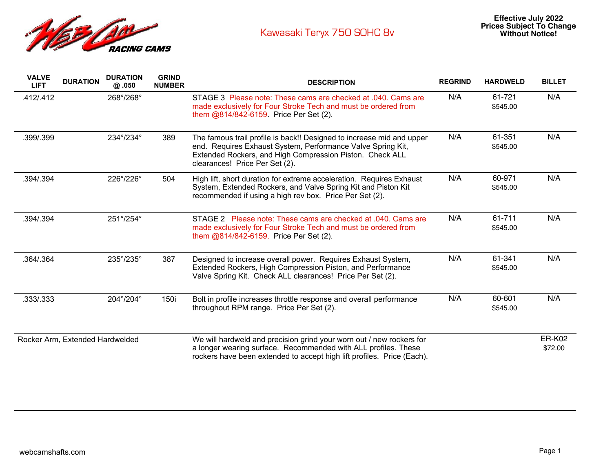

| <b>VALVE</b><br><b>LIFT</b>     | <b>DURATION</b> | <b>DURATION</b><br>@.050 | <b>GRIND</b><br><b>NUMBER</b> | <b>DESCRIPTION</b>                                                                                                                                                                                                                 | <b>REGRIND</b> | <b>HARDWELD</b>    | <b>BILLET</b>            |
|---------------------------------|-----------------|--------------------------|-------------------------------|------------------------------------------------------------------------------------------------------------------------------------------------------------------------------------------------------------------------------------|----------------|--------------------|--------------------------|
| .412/.412                       |                 | 268°/268°                |                               | STAGE 3 Please note: These cams are checked at .040. Cams are<br>made exclusively for Four Stroke Tech and must be ordered from<br>them @814/842-6159. Price Per Set (2).                                                          | N/A            | 61-721<br>\$545.00 | N/A                      |
| .399/.399                       |                 | 234°/234°                | 389                           | The famous trail profile is back!! Designed to increase mid and upper<br>end. Requires Exhaust System, Performance Valve Spring Kit,<br>Extended Rockers, and High Compression Piston. Check ALL<br>clearances! Price Per Set (2). | N/A            | 61-351<br>\$545.00 | N/A                      |
| .394/.394                       |                 | 226°/226°                | 504                           | High lift, short duration for extreme acceleration. Requires Exhaust<br>System, Extended Rockers, and Valve Spring Kit and Piston Kit<br>recommended if using a high rev box. Price Per Set (2).                                   | N/A            | 60-971<br>\$545.00 | N/A                      |
| .394/.394                       |                 | 251°/254°                |                               | STAGE 2 Please note: These cams are checked at .040. Cams are<br>made exclusively for Four Stroke Tech and must be ordered from<br>them @814/842-6159. Price Per Set (2).                                                          | N/A            | 61-711<br>\$545.00 | N/A                      |
| .364/.364                       |                 | 235°/235°                | 387                           | Designed to increase overall power. Requires Exhaust System,<br>Extended Rockers, High Compression Piston, and Performance<br>Valve Spring Kit. Check ALL clearances! Price Per Set (2).                                           | N/A            | 61-341<br>\$545.00 | N/A                      |
| .333/.333                       |                 | 204°/204°                | 150i                          | Bolt in profile increases throttle response and overall performance<br>throughout RPM range. Price Per Set (2).                                                                                                                    | N/A            | 60-601<br>\$545.00 | N/A                      |
| Rocker Arm, Extended Hardwelded |                 |                          |                               | We will hardweld and precision grind your worn out / new rockers for<br>a longer wearing surface. Recommended with ALL profiles. These<br>rockers have been extended to accept high lift profiles. Price (Each).                   |                |                    | <b>ER-K02</b><br>\$72.00 |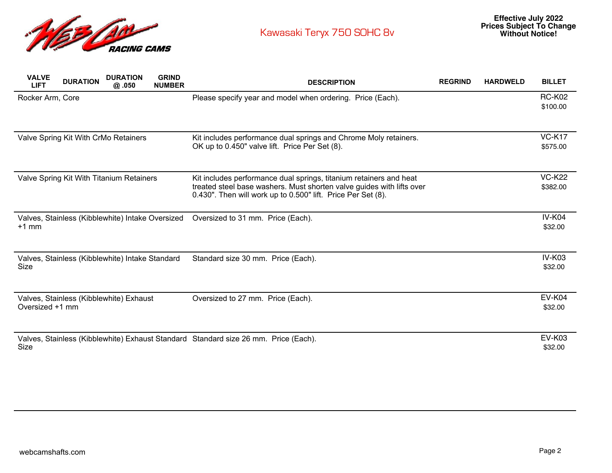

| <b>VALVE</b><br><b>LIFT</b>          | <b>DURATION</b> | <b>DURATION</b><br>@.050                         | <b>GRIND</b><br><b>NUMBER</b> | <b>DESCRIPTION</b>                                                                                                                                                                                          | <b>REGRIND</b> | <b>HARDWELD</b> | <b>BILLET</b>             |
|--------------------------------------|-----------------|--------------------------------------------------|-------------------------------|-------------------------------------------------------------------------------------------------------------------------------------------------------------------------------------------------------------|----------------|-----------------|---------------------------|
| Rocker Arm, Core                     |                 |                                                  |                               | Please specify year and model when ordering. Price (Each).                                                                                                                                                  |                |                 | <b>RC-K02</b><br>\$100.00 |
| Valve Spring Kit With CrMo Retainers |                 |                                                  |                               | Kit includes performance dual springs and Chrome Moly retainers.<br>OK up to 0.450" valve lift. Price Per Set (8).                                                                                          |                |                 | <b>VC-K17</b><br>\$575.00 |
|                                      |                 | Valve Spring Kit With Titanium Retainers         |                               | Kit includes performance dual springs, titanium retainers and heat<br>treated steel base washers. Must shorten valve guides with lifts over<br>0.430". Then will work up to 0.500" lift. Price Per Set (8). |                |                 | <b>VC-K22</b><br>\$382.00 |
| $+1$ mm                              |                 | Valves, Stainless (Kibblewhite) Intake Oversized |                               | Oversized to 31 mm. Price (Each).                                                                                                                                                                           |                |                 | <b>IV-K04</b><br>\$32.00  |
| Size                                 |                 | Valves, Stainless (Kibblewhite) Intake Standard  |                               | Standard size 30 mm. Price (Each).                                                                                                                                                                          |                |                 | <b>IV-K03</b><br>\$32.00  |
| Oversized +1 mm                      |                 | Valves, Stainless (Kibblewhite) Exhaust          |                               | Oversized to 27 mm. Price (Each).                                                                                                                                                                           |                |                 | <b>EV-K04</b><br>\$32.00  |
| Size                                 |                 |                                                  |                               | Valves, Stainless (Kibblewhite) Exhaust Standard Standard size 26 mm. Price (Each).                                                                                                                         |                |                 | <b>EV-K03</b><br>\$32.00  |